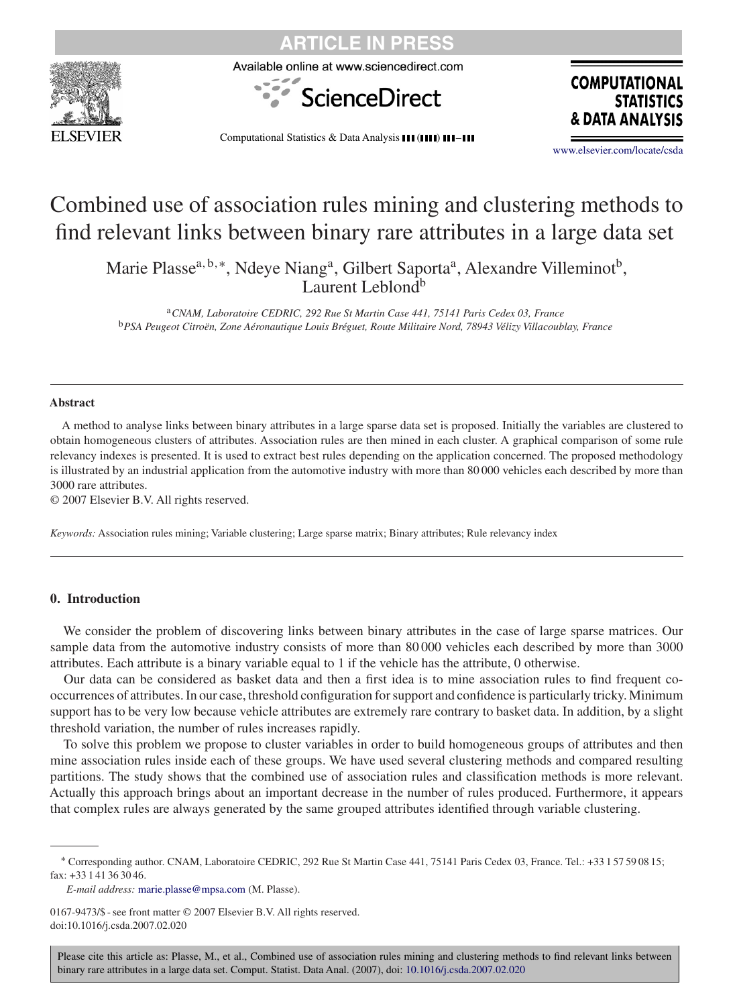

CI F IN PRFS

Available online at www.sciencedirect.com



**COMPUTATIONAL STATISTICS** & DATA ANALY

Computational Statistics & Data Analysis III (IIII) III-III

[www.elsevier.com/locate/csda](http://www.elsevier.com/locate/csda)

# Combined use of association rules mining and clustering methods to find relevant links between binary rare attributes in a large data set

Marie Plasse<sup>a, b,∗</sup>, Ndeye Niang<sup>a</sup>, Gilbert Saporta<sup>a</sup>, Alexandre Villeminot<sup>b</sup>, Laurent Leblond<sup>b</sup>

<sup>a</sup>*CNAM, Laboratoire CEDRIC, 292 Rue St Martin Case 441, 75141 Paris Cedex 03, France* <sup>b</sup>*PSA Peugeot Citroën, Zone Aéronautique Louis Bréguet, Route Militaire Nord, 78943 Vélizy Villacoublay, France*

#### **Abstract**

A method to analyse links between binary attributes in a large sparse data set is proposed. Initially the variables are clustered to obtain homogeneous clusters of attributes. Association rules are then mined in each cluster. A graphical comparison of some rule relevancy indexes is presented. It is used to extract best rules depending on the application concerned. The proposed methodology is illustrated by an industrial application from the automotive industry with more than 80 000 vehicles each described by more than 3000 rare attributes.

© 2007 Elsevier B.V. All rights reserved.

*Keywords:* Association rules mining; Variable clustering; Large sparse matrix; Binary attributes; Rule relevancy index

### **0. Introduction**

We consider the problem of discovering links between binary attributes in the case of large sparse matrices. Our sample data from the automotive industry consists of more than 80 000 vehicles each described by more than 3000 attributes. Each attribute is a binary variable equal to 1 if the vehicle has the attribute, 0 otherwise.

Our data can be considered as basket data and then a first idea is to mine association rules to find frequent cooccurrences of attributes. In our case, threshold configuration for support and confidence is particularly tricky. Minimum support has to be very low because vehicle attributes are extremely rare contrary to basket data. In addition, by a slight threshold variation, the number of rules increases rapidly.

To solve this problem we propose to cluster variables in order to build homogeneous groups of attributes and then mine association rules inside each of these groups. We have used several clustering methods and compared resulting partitions. The study shows that the combined use of association rules and classification methods is more relevant. Actually this approach brings about an important decrease in the number of rules produced. Furthermore, it appears that complex rules are always generated by the same grouped attributes identified through variable clustering.

*E-mail address:* [marie.plasse@mpsa.com](mailto:marie.plasse@mpsa.com) (M. Plasse).

0167-9473/\$ - see front matter © 2007 Elsevier B.V. All rights reserved. doi:10.1016/j.csda.2007.02.020

<sup>∗</sup> Corresponding author. CNAM, Laboratoire CEDRIC, 292 Rue St Martin Case 441, 75141 Paris Cedex 03, France. Tel.: +33 1 57 59 08 15; fax: +33 1 41 36 30 46.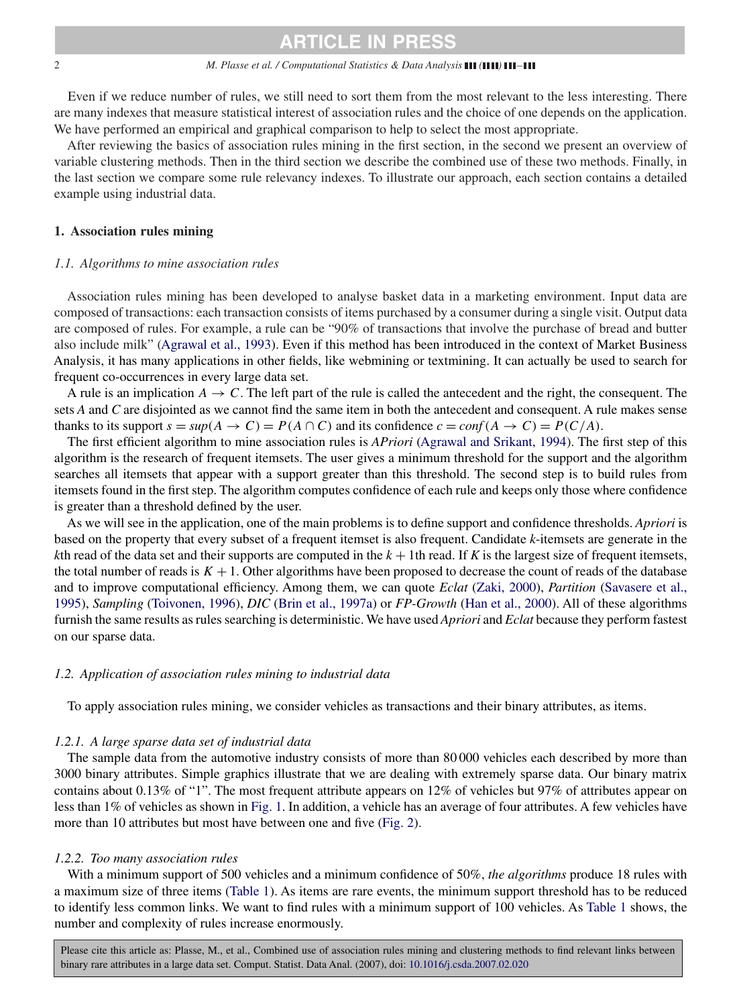#### 2 *M. Plasse et al. / Computational Statistics & Data Analysis* **(***A***) (***1***) (1) 111**

Even if we reduce number of rules, we still need to sort them from the most relevant to the less interesting. There are many indexes that measure statistical interest of association rules and the choice of one depends on the application. We have performed an empirical and graphical comparison to help to select the most appropriate.

After reviewing the basics of association rules mining in the first section, in the second we present an overview of variable clustering methods. Then in the third section we describe the combined use of these two methods. Finally, in the last section we compare some rule relevancy indexes. To illustrate our approach, each section contains a detailed example using industrial data.

#### **1. Association rules mining**

#### *1.1. Algorithms to mine association rules*

Association rules mining has been developed to analyse basket data in a marketing environment. Input data are composed of transactions: each transaction consists of items purchased by a consumer during a single visit. Output data are composed of rules. For example, a rule can be "90% of transactions that involve the purchase of bread and butter also include milk" [\(Agrawal et al., 1993\)](#page-17-0). Even if this method has been introduced in the context of Market Business Analysis, it has many applications in other fields, like webmining or textmining. It can actually be used to search for frequent co-occurrences in every large data set.

A rule is an implication  $A \rightarrow C$ . The left part of the rule is called the antecedent and the right, the consequent. The sets *A* and *C* are disjointed as we cannot find the same item in both the antecedent and consequent. A rule makes sense thanks to its support  $s = \sup(A \to C) = P(A \cap C)$  and its confidence  $c = \text{conf}(A \to C) = P(C/A)$ .

The first efficient algorithm to mine association rules is *APriori* [\(Agrawal and Srikant, 1994\)](#page-17-0). The first step of this algorithm is the research of frequent itemsets. The user gives a minimum threshold for the support and the algorithm searches all itemsets that appear with a support greater than this threshold. The second step is to build rules from itemsets found in the first step. The algorithm computes confidence of each rule and keeps only those where confidence is greater than a threshold defined by the user.

As we will see in the application, one of the main problems is to define support and confidence thresholds. *Apriori* is based on the property that every subset of a frequent itemset is also frequent. Candidate *k*-itemsets are generate in the *k*th read of the data set and their supports are computed in the  $k + 1$ th read. If *K* is the largest size of frequent itemsets, the total number of reads is  $K + 1$ . Other algorithms have been proposed to decrease the count of reads of the database and to improve computational efficiency. Among them, we can quote *Eclat* [\(Zaki, 2000\)](#page-17-0), *Partition* [\(Savasere et al.,](#page-17-0) [1995\)](#page-17-0), *Sampling* [\(Toivonen, 1996\)](#page-17-0), *DIC* [\(Brin et al., 1997a\)](#page-17-0) or *FP-Growth* [\(Han et al., 2000\)](#page-17-0). All of these algorithms furnish the same results as rules searching is deterministic. We have used *Apriori* and *Eclat* because they perform fastest on our sparse data.

#### *1.2. Application of association rules mining to industrial data*

To apply association rules mining, we consider vehicles as transactions and their binary attributes, as items.

#### *1.2.1. A large sparse data set of industrial data*

The sample data from the automotive industry consists of more than 80 000 vehicles each described by more than 3000 binary attributes. Simple graphics illustrate that we are dealing with extremely sparse data. Our binary matrix contains about 0.13% of "1". The most frequent attribute appears on 12% of vehicles but 97% of attributes appear on less than 1% of vehicles as shown in [Fig. 1.](#page-2-0) In addition, a vehicle has an average of four attributes. A few vehicles have more than 10 attributes but most have between one and five [\(Fig. 2\)](#page-2-0).

#### *1.2.2. Too many association rules*

With a minimum support of 500 vehicles and a minimum confidence of 50%, *the algorithms* produce 18 rules with a maximum size of three items [\(Table 1\)](#page-2-0). As items are rare events, the minimum support threshold has to be reduced to identify less common links. We want to find rules with a minimum support of 100 vehicles. As [Table 1](#page-2-0) shows, the number and complexity of rules increase enormously.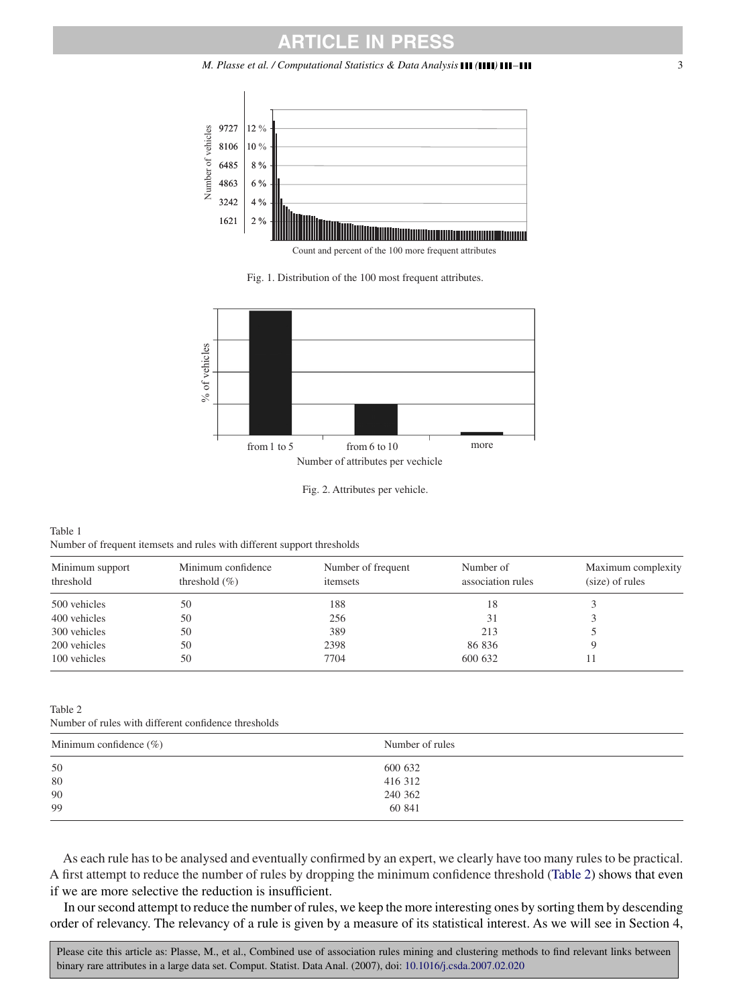<span id="page-2-0"></span>

Count and percent of the 100 more frequent attributes

Fig. 1. Distribution of the 100 most frequent attributes.



Fig. 2. Attributes per vehicle.

#### Table 1 Number of frequent itemsets and rules with different support thresholds

| Minimum support<br>threshold | Minimum confidence<br>threshold $(\% )$ | Number of frequent<br>itemsets | Number of<br>association rules | Maximum complexity<br>(size) of rules |
|------------------------------|-----------------------------------------|--------------------------------|--------------------------------|---------------------------------------|
| 500 vehicles                 | 50                                      | 188                            | 18                             |                                       |
| 400 vehicles                 | 50                                      | 256                            | 31                             |                                       |
| 300 vehicles                 | 50                                      | 389                            | 213                            |                                       |
| 200 vehicles                 | 50                                      | 2398                           | 86 836                         |                                       |
| 100 vehicles                 | 50                                      | 7704                           | 600 632                        |                                       |

#### Table 2

Number of rules with different confidence thresholds

| Minimum confidence $(\%)$ | Number of rules |
|---------------------------|-----------------|
| 50                        | 600 632         |
| 80                        | 416 312         |
| 90                        | 240 362         |
| 99                        | 60 841          |

As each rule has to be analysed and eventually confirmed by an expert, we clearly have too many rules to be practical. A first attempt to reduce the number of rules by dropping the minimum confidence threshold (Table 2) shows that even if we are more selective the reduction is insufficient.

In our second attempt to reduce the number of rules, we keep the more interesting ones by sorting them by descending order of relevancy. The relevancy of a rule is given by a measure of its statistical interest. As we will see in Section 4,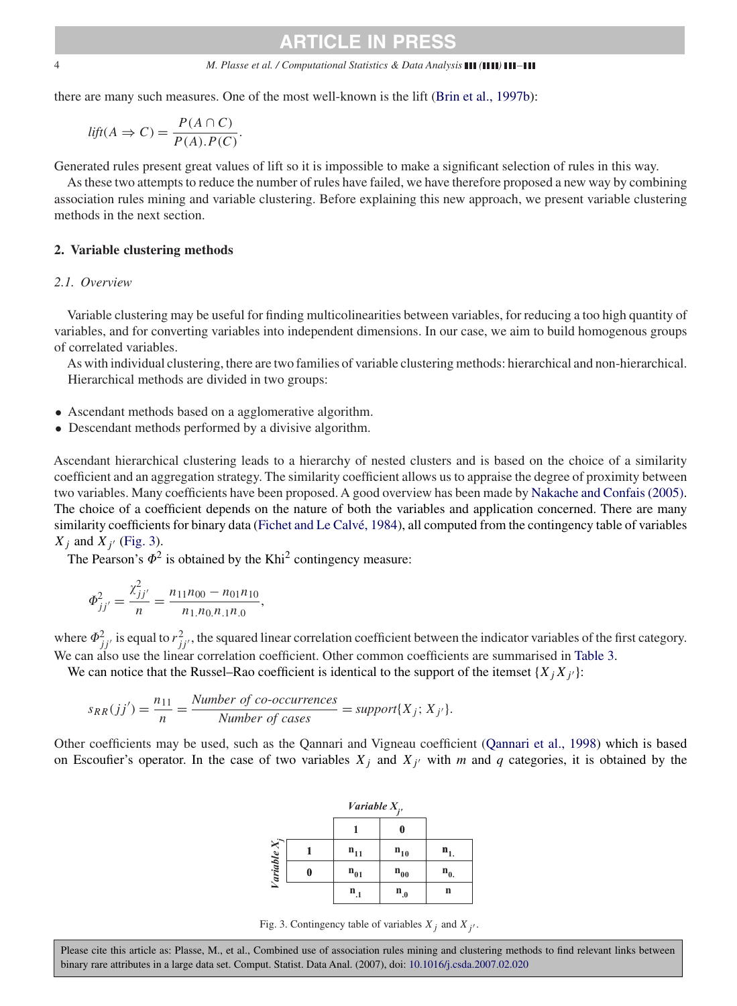#### 4 *M. Plasse et al. / Computational Statistics & Data Analysis ( ) –*

there are many such measures. One of the most well-known is the lift [\(Brin et al., 1997b\)](#page-17-0):

$$
lift(A \Rightarrow C) = \frac{P(A \cap C)}{P(A).P(C)}.
$$

Generated rules present great values of lift so it is impossible to make a significant selection of rules in this way.

As these two attempts to reduce the number of rules have failed, we have therefore proposed a new way by combining association rules mining and variable clustering. Before explaining this new approach, we present variable clustering methods in the next section.

#### **2. Variable clustering methods**

#### *2.1. Overview*

Variable clustering may be useful for finding multicolinearities between variables, for reducing a too high quantity of variables, and for converting variables into independent dimensions. In our case, we aim to build homogenous groups of correlated variables.

As with individual clustering, there are two families of variable clustering methods: hierarchical and non-hierarchical. Hierarchical methods are divided in two groups:

- Ascendant methods based on a agglomerative algorithm.
- Descendant methods performed by a divisive algorithm.

Ascendant hierarchical clustering leads to a hierarchy of nested clusters and is based on the choice of a similarity coefficient and an aggregation strategy. The similarity coefficient allows us to appraise the degree of proximity between two variables. Many coefficients have been proposed. A good overview has been made by [Nakache and Confais \(2005\).](#page-17-0) The choice of a coefficient depends on the nature of both the variables and application concerned. There are many similarity coefficients for binary data [\(Fichet and Le Calvé, 1984\)](#page-17-0), all computed from the contingency table of variables  $X_i$  and  $X_{i'}$  (Fig. 3).

The Pearson's  $\Phi^2$  is obtained by the Khi<sup>2</sup> contingency measure:

$$
\Phi_{jj'}^2 = \frac{\chi_{jj'}^2}{n} = \frac{n_{11}n_{00} - n_{01}n_{10}}{n_{1.}n_{0.}n_{.1}n_{.0}},
$$

where  $\Phi_{jj'}^2$  is equal to  $r_{jj'}^2$ , the squared linear correlation coefficient between the indicator variables of the first category. We can also use the linear correlation coefficient. Other common coefficients are summarised in [Table 3.](#page-4-0)

We can notice that the Russel–Rao coefficient is identical to the support of the itemset  $\{X_i X_{i'}\}$ :

$$
s_{RR}(jj') = \frac{n_{11}}{n} = \frac{Number\ of\ co-occurrences}{Number\ of\ cases} = support\{X_j; X_{j'}\}.
$$

Other coefficients may be used, such as the Qannari and Vigneau coefficient [\(Qannari et al., 1998\)](#page-17-0) which is based on Escoufier's operator. In the case of two variables  $X_j$  and  $X_{j'}$  with *m* and *q* categories, it is obtained by the

|            | Variable $X_i$ , |                   |                |
|------------|------------------|-------------------|----------------|
|            |                  |                   |                |
|            | $n_{11}$         | $n_{10}$          | n.             |
| Variable X | $n_{01}$         | $n_{00}$          | $\mathbf{n}_0$ |
|            | $n_{.1}$         | $\mathbf{n}_{.0}$ | n              |

Fig. 3. Contingency table of variables  $X_j$  and  $X_{j'}$ .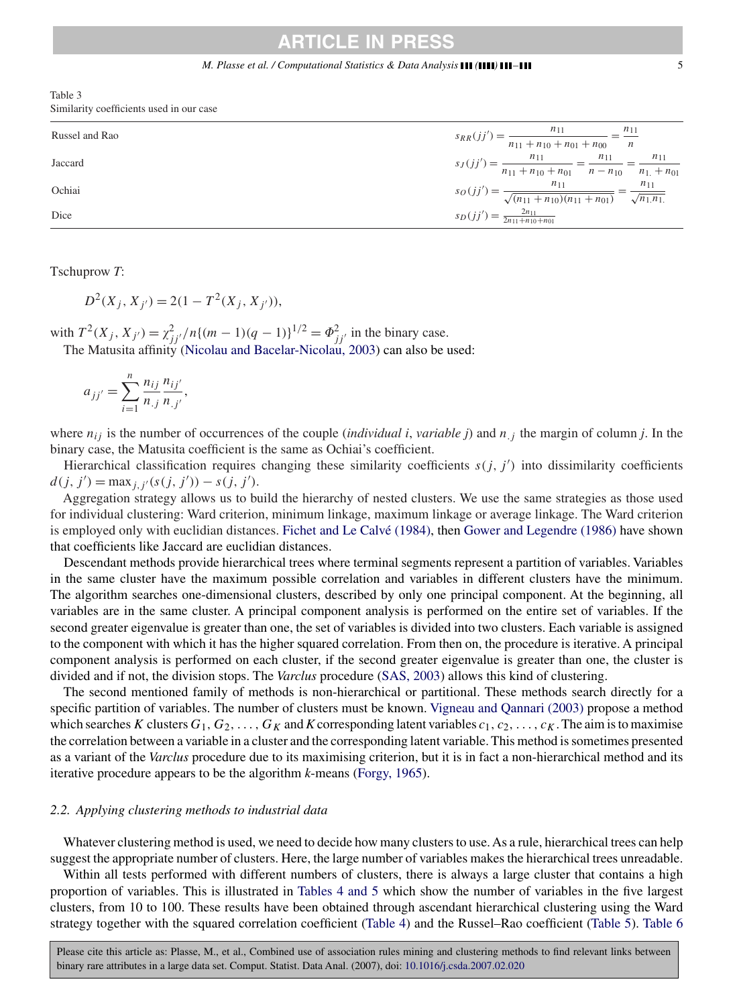<span id="page-4-0"></span>Table 3 Similarity coefficients used in our case

| Russel and Rao | $s_{RR}(jj') = \frac{n_{11}}{n_{11} + n_{10} + n_{01} + n_{00}} = \frac{n_{11}}{n}$                               |
|----------------|-------------------------------------------------------------------------------------------------------------------|
| Jaccard        | $s_J(jj') = \frac{n_{11}}{n_{11} + n_{10} + n_{01}} = \frac{n_{11}}{n - n_{10}} = \frac{n_{11}}{n_{1.} + n_{01}}$ |
| Ochiai         | $s_O(jj') = \frac{n_{11}}{\sqrt{(n_{11}+n_{10})(n_{11}+n_{01})}} = \frac{n_{11}}{\sqrt{n_{11}n_{11}}}$            |
| Dice           | $s_D(jj') = \frac{2n_{11}}{2n_{11}+n_{10}+n_{01}}$                                                                |

Tschuprow *T*:

 $D^{2}(X_{i}, X_{i'}) = 2(1 - T^{2}(X_{i}, X_{i'})),$ 

with  $T^2(X_j, X_{j'}) = \chi^2_{jj'}/n\{(m-1)(q-1)\}^{1/2} = \Phi^2_{jj'}$  in the binary case. The Matusita affinity [\(Nicolau and Bacelar-Nicolau, 2003\)](#page-17-0) can also be used:

$$
a_{jj'} = \sum_{i=1}^{n} \frac{n_{ij}}{n_{.j}} \frac{n_{ij'}}{n_{.j'}},
$$

where  $n_{ij}$  is the number of occurrences of the couple *(individual i, variable j)* and  $n_{ij}$  the margin of column *j*. In the binary case, the Matusita coefficient is the same as Ochiai's coefficient.

Hierarchical classification requires changing these similarity coefficients  $s(j, j')$  into dissimilarity coefficients  $d(j, j') = \max_{j, j'} (s(j, j')) - s(j, j').$ 

Aggregation strategy allows us to build the hierarchy of nested clusters. We use the same strategies as those used for individual clustering: Ward criterion, minimum linkage, maximum linkage or average linkage. The Ward criterion is employed only with euclidian distances. [Fichet and Le Calvé \(1984\),](#page-17-0) then [Gower and Legendre \(1986\)](#page-17-0) have shown that coefficients like Jaccard are euclidian distances.

Descendant methods provide hierarchical trees where terminal segments represent a partition of variables. Variables in the same cluster have the maximum possible correlation and variables in different clusters have the minimum. The algorithm searches one-dimensional clusters, described by only one principal component. At the beginning, all variables are in the same cluster. A principal component analysis is performed on the entire set of variables. If the second greater eigenvalue is greater than one, the set of variables is divided into two clusters. Each variable is assigned to the component with which it has the higher squared correlation. From then on, the procedure is iterative. A principal component analysis is performed on each cluster, if the second greater eigenvalue is greater than one, the cluster is divided and if not, the division stops. The *Varclus* procedure [\(SAS, 2003\)](#page-17-0) allows this kind of clustering.

The second mentioned family of methods is non-hierarchical or partitional. These methods search directly for a specific partition of variables. The number of clusters must be known. [Vigneau and Qannari \(2003\)](#page-17-0) propose a method which searches K clusters  $G_1, G_2, \ldots, G_k$  and K corresponding latent variables  $c_1, c_2, \ldots, c_k$ . The aim is to maximise the correlation between a variable in a cluster and the corresponding latent variable. This method is sometimes presented as a variant of the *Varclus* procedure due to its maximising criterion, but it is in fact a non-hierarchical method and its iterative procedure appears to be the algorithm *k*-means [\(Forgy, 1965\)](#page-17-0).

#### *2.2. Applying clustering methods to industrial data*

Whatever clustering method is used, we need to decide how many clusters to use. As a rule, hierarchical trees can help suggest the appropriate number of clusters. Here, the large number of variables makes the hierarchical trees unreadable.

Within all tests performed with different numbers of clusters, there is always a large cluster that contains a high proportion of variables. This is illustrated in Tables 4 and 5 which show the number of variables in the five largest clusters, from 10 to 100. These results have been obtained through ascendant hierarchical clustering using the Ward strategy together with the squared correlation coefficient [\(Table 4\)](#page-5-0) and the Russel–Rao coefficient [\(Table 5\)](#page-5-0). [Table 6](#page-5-0)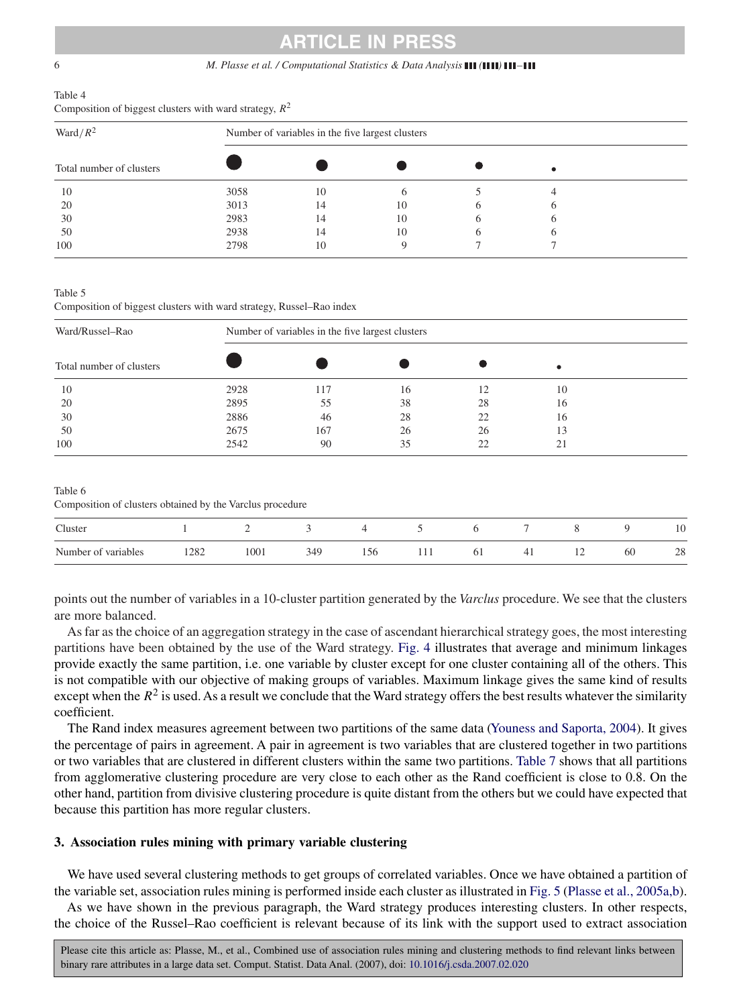#### <span id="page-5-0"></span>6 *M. Plasse et al. / Computational Statistics & Data Analysis ( ) –*

#### Table 4 Composition of biggest clusters with ward strategy,  $R^2$

| Ward/ $R^2$              | Number of variables in the five largest clusters |    |    |   |  |  |  |  |  |  |
|--------------------------|--------------------------------------------------|----|----|---|--|--|--|--|--|--|
| Total number of clusters |                                                  |    |    |   |  |  |  |  |  |  |
| 10                       | 3058                                             | 10 |    |   |  |  |  |  |  |  |
| 20                       | 3013                                             | 14 | 10 |   |  |  |  |  |  |  |
| 30                       | 2983                                             | 14 | 10 |   |  |  |  |  |  |  |
| 50                       | 2938                                             | 14 | 10 | O |  |  |  |  |  |  |
| 100                      | 2798                                             | 10 |    |   |  |  |  |  |  |  |

Table 5

Composition of biggest clusters with ward strategy, Russel–Rao index

| Ward/Russel-Rao          | Number of variables in the five largest clusters |     |    |    |    |  |  |  |  |
|--------------------------|--------------------------------------------------|-----|----|----|----|--|--|--|--|
| Total number of clusters |                                                  |     |    |    |    |  |  |  |  |
| 10                       | 2928                                             | 117 | 16 |    | 10 |  |  |  |  |
| 20                       | 2895                                             | 55  | 38 | 28 | 16 |  |  |  |  |
| 30                       | 2886                                             | 46  | 28 | 22 | 16 |  |  |  |  |
| 50                       | 2675                                             | 167 | 26 | 26 | 13 |  |  |  |  |
| 100                      | 2542                                             | 90  | 35 | 22 | 21 |  |  |  |  |
|                          |                                                  |     |    |    |    |  |  |  |  |

Table 6

Composition of clusters obtained by the Varclus procedure

| Cluster             |      | ∼    |     |            |    |          |                |    | 10 |
|---------------------|------|------|-----|------------|----|----------|----------------|----|----|
| Number of variables | 1282 | 1001 | 156 | <b>TTT</b> | 61 | -<br>. . | $\overline{ }$ | 60 | 28 |

points out the number of variables in a 10-cluster partition generated by the *Varclus* procedure. We see that the clusters are more balanced.

As far as the choice of an aggregation strategy in the case of ascendant hierarchical strategy goes, the most interesting partitions have been obtained by the use of the Ward strategy. [Fig. 4](#page-6-0) illustrates that average and minimum linkages provide exactly the same partition, i.e. one variable by cluster except for one cluster containing all of the others. This is not compatible with our objective of making groups of variables. Maximum linkage gives the same kind of results except when the  $R<sup>2</sup>$  is used. As a result we conclude that the Ward strategy offers the best results whatever the similarity coefficient.

The Rand index measures agreement between two partitions of the same data [\(Youness and Saporta, 2004\)](#page-17-0). It gives the percentage of pairs in agreement. A pair in agreement is two variables that are clustered together in two partitions or two variables that are clustered in different clusters within the same two partitions. [Table 7](#page-6-0) shows that all partitions from agglomerative clustering procedure are very close to each other as the Rand coefficient is close to 0.8. On the other hand, partition from divisive clustering procedure is quite distant from the others but we could have expected that because this partition has more regular clusters.

#### **3. Association rules mining with primary variable clustering**

We have used several clustering methods to get groups of correlated variables. Once we have obtained a partition of the variable set, association rules mining is performed inside each cluster as illustrated in [Fig. 5](#page-6-0) (Plasse et al., 2005a,b).

As we have shown in the previous paragraph, the Ward strategy produces interesting clusters. In other respects, the choice of the Russel–Rao coefficient is relevant because of its link with the support used to extract association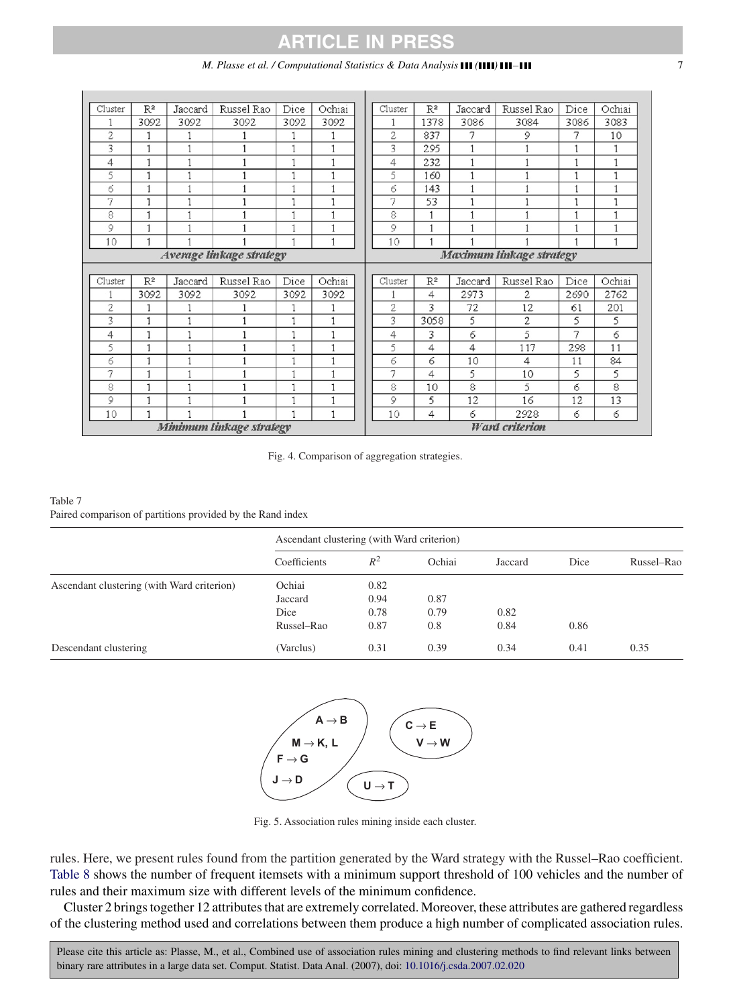#### *M. Plasse et al. / Computational Statistics & Data Analysis ( ) –* 7

<span id="page-6-0"></span>

| Cluster | R2                       | Jaccard | Russel Rao               | Dice | Ochiai | Cluster        | $\mathbb{R}^2$ | Jaccard      | Russel Rao               | Dice | Ochiai |
|---------|--------------------------|---------|--------------------------|------|--------|----------------|----------------|--------------|--------------------------|------|--------|
|         | 3092                     | 3092    | 3092                     | 3092 | 3092   |                | 1378           | 3086         | 3084                     | 3086 | 3083   |
| 2       | $\mathbf{1}$             |         |                          | 1    |        | $\overline{2}$ | 837            | 7            | 9                        | 7    | 10     |
| 3       | $\mathbf{1}$             |         |                          | 1    | 1      | 3              | 295            | 1            |                          | 1    | 1      |
| 4       | $\mathbf{1}$             |         |                          |      | 1      | 4              | 232            | $\mathbf{1}$ |                          | 1    | 1      |
| 5       | 1                        |         |                          | ۹    | 1      | 5              | 160            | 1            |                          | 1    | 1      |
| б       | 1                        |         |                          |      | 1      | б              | 143            | 1            |                          | 1    | 1      |
| 7       | 1                        |         |                          |      |        | 7              | 53             | 1            |                          | 1    | 1      |
| 8       |                          |         |                          |      | 1      | 8              | 1              | ۹            |                          | 1    | 1      |
| 9       | 1                        |         |                          |      |        | 9              | 1              | ٠            |                          |      | 1      |
| 10      |                          |         |                          |      |        | 10             | ۹              |              |                          |      | 1      |
|         | Average linkage strategy |         |                          |      |        |                |                |              | Maximum linkage strategy |      |        |
|         |                          |         |                          |      |        |                |                |              |                          |      |        |
|         |                          |         |                          |      |        |                |                |              |                          |      |        |
| Cluster | $\mathbb{R}^2$           | Jaccard | Russel Rao               | Dice | Ochiai | Cluster        | $\mathbb{R}^2$ | Jaccard      | Russel Rao               | Dice | Ochiai |
| 1       | 3092                     | 3092    | 3092                     | 3092 | 3092   |                | 4              | 2973         | 2                        | 2690 | 2762   |
| 2       |                          |         |                          |      |        | 2              | 3              | 72           | 12                       | 61   | 201    |
| 3       | 1                        | 1       |                          | ۴    | 1      | 3              | 3058           | 5            | 2                        | 5    | 5      |
| 4       | $\mathbf{1}$             |         |                          |      |        | 4              | 3              | б            | 5                        | 7    | 6      |
| 5       | 1                        | 1       |                          | ٠    | 1      | 5              | 4              | 4            | 117                      | 298  | 11     |
| 6       | $\mathbf{1}$             | 1       |                          |      | 1      | 6              | 6              | 10           | 4                        | 11   | 84     |
| 7       | $\mathbf{1}$             | ٠       |                          | ۴    | 1      | 7              | 4              | 5            | 10                       | 5    | 5      |
| 8       | $\mathbf{1}$             | ٠       |                          | ٠    | 1      | 8              | 10             | 8            | 5                        | 6    | 8      |
| 9       | 1                        | 1       | ٦                        | 1    | 1      | 9              | 5              | 12           | 16                       | 12   | 13     |
| 10      | $\mathbf{1}$             |         | Minimum linkage strategy |      | 1      | 10             | 4              | б            | 2928                     | 6    | 6      |

Fig. 4. Comparison of aggregation strategies.

#### Table 7 Paired comparison of partitions provided by the Rand index

|                                            | Ascendant clustering (with Ward criterion) |       |        |         |      |            |  |  |  |
|--------------------------------------------|--------------------------------------------|-------|--------|---------|------|------------|--|--|--|
|                                            | Coefficients                               | $R^2$ | Ochiai | Jaccard | Dice | Russel-Rao |  |  |  |
| Ascendant clustering (with Ward criterion) | Ochiai                                     | 0.82  |        |         |      |            |  |  |  |
|                                            | Jaccard                                    | 0.94  | 0.87   |         |      |            |  |  |  |
|                                            | Dice                                       | 0.78  | 0.79   | 0.82    |      |            |  |  |  |
|                                            | Russel–Rao                                 | 0.87  | 0.8    | 0.84    | 0.86 |            |  |  |  |
| Descendant clustering                      | (Varclus)                                  | 0.31  | 0.39   | 0.34    | 0.41 | 0.35       |  |  |  |



Fig. 5. Association rules mining inside each cluster.

rules. Here, we present rules found from the partition generated by the Ward strategy with the Russel–Rao coefficient. [Table 8](#page-7-0) shows the number of frequent itemsets with a minimum support threshold of 100 vehicles and the number of rules and their maximum size with different levels of the minimum confidence.

Cluster 2 brings together 12 attributes that are extremely correlated. Moreover, these attributes are gathered regardless of the clustering method used and correlations between them produce a high number of complicated association rules.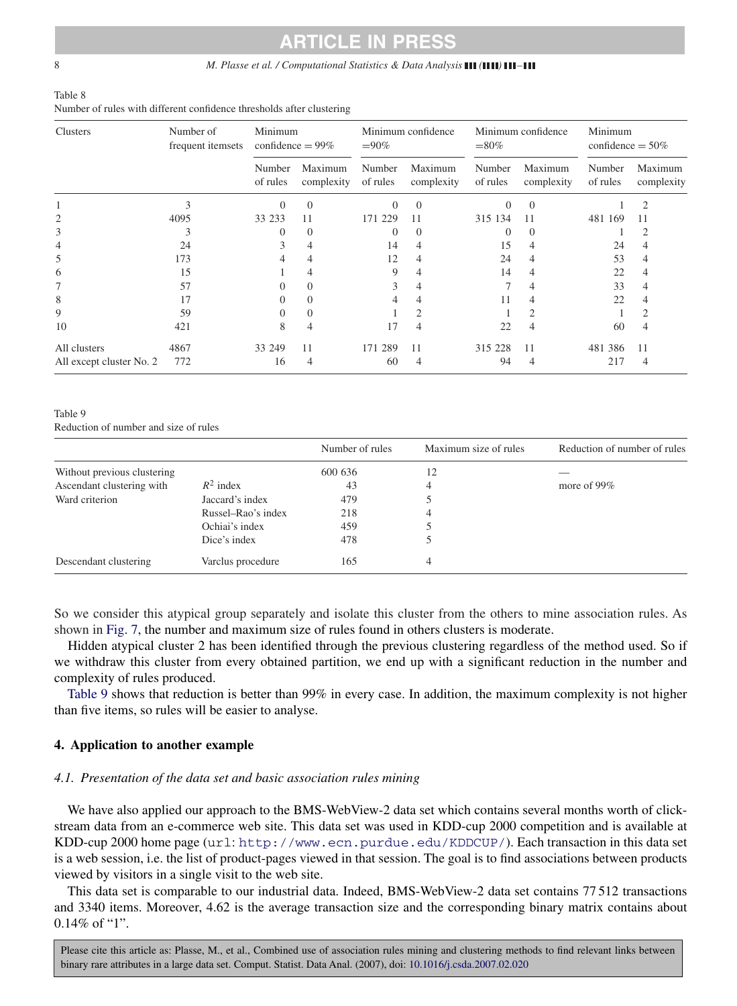#### <span id="page-7-0"></span>8 *M. Plasse et al. / Computational Statistics & Data Analysis* **(***A III (<i>)* **<b>111** *–111*

| Table 8                                                               |  |
|-----------------------------------------------------------------------|--|
| Number of rules with different confidence thresholds after clustering |  |

| Clusters                 | Number of<br>frequent itemsets | Minimum<br>confidence $= 99\%$ |                       | Minimum confidence<br>$=90\%$ |                       | Minimum confidence<br>$= 80\%$ |                       | Minimum<br>confidence $= 50\%$ |                       |
|--------------------------|--------------------------------|--------------------------------|-----------------------|-------------------------------|-----------------------|--------------------------------|-----------------------|--------------------------------|-----------------------|
|                          |                                | Number<br>of rules             | Maximum<br>complexity | Number<br>of rules            | Maximum<br>complexity | Number<br>of rules             | Maximum<br>complexity | Number<br>of rules             | Maximum<br>complexity |
|                          | 3                              | $\Omega$                       | $\mathbf{0}$          | $\Omega$                      | $\Omega$              | $\Omega$                       | $\Omega$              |                                | 2                     |
| 2                        | 4095                           | 33 233                         | 11                    | 171 229                       | 11                    | 315 134                        | 11                    | 481 169                        | 11                    |
| 3                        |                                |                                | $\theta$              | $\Omega$                      | 0                     | $\Omega$                       | $\theta$              |                                | 2                     |
| 4                        | 24                             | 3                              | 4                     | 14                            | 4                     | 15                             | 4                     | 24                             | 4                     |
| 5                        | 173                            | 4                              | 4                     | 12                            | 4                     | 24                             | 4                     | 53                             | $\overline{4}$        |
| 6                        | 15                             |                                | 4                     | 9                             | 4                     | 14                             | 4                     | 22                             | $\overline{4}$        |
|                          | 57                             |                                | 0                     | 3                             | 4                     |                                | 4                     | 33                             | $\overline{4}$        |
| 8                        | 17                             |                                | 0                     |                               | 4                     |                                | $\overline{4}$        | 22                             | $\overline{4}$        |
| 9                        | 59                             |                                | 0                     |                               | $\overline{2}$        |                                | $\overline{2}$        |                                | $\mathfrak{2}$        |
| 10                       | 421                            | 8                              | 4                     | 17                            | 4                     | 22                             | 4                     | 60                             | $\overline{4}$        |
| All clusters             | 4867                           | 33 249                         | 11                    | 171 289                       | 11                    | 315 228                        | 11                    | 481 386                        | 11                    |
| All except cluster No. 2 | 772                            | 16                             | 4                     | 60                            | 4                     | 94                             | 4                     | 217                            | $\overline{4}$        |

#### Table 9

Reduction of number and size of rules

|                             |                    | Number of rules | Maximum size of rules | Reduction of number of rules |
|-----------------------------|--------------------|-----------------|-----------------------|------------------------------|
| Without previous clustering |                    | 600 636         | 12                    |                              |
| Ascendant clustering with   | $R^2$ index        | 43              | 4                     | more of $99\%$               |
| Ward criterion              | Jaccard's index    | 479             |                       |                              |
|                             | Russel-Rao's index | 218             |                       |                              |
|                             | Ochiai's index     | 459             |                       |                              |
|                             | Dice's index       | 478             |                       |                              |
| Descendant clustering       | Varclus procedure  | 165             | 4                     |                              |

So we consider this atypical group separately and isolate this cluster from the others to mine association rules. As shown in [Fig. 7,](#page-9-0) the number and maximum size of rules found in others clusters is moderate.

Hidden atypical cluster 2 has been identified through the previous clustering regardless of the method used. So if we withdraw this cluster from every obtained partition, we end up with a significant reduction in the number and complexity of rules produced.

Table 9 shows that reduction is better than 99% in every case. In addition, the maximum complexity is not higher than five items, so rules will be easier to analyse.

#### **4. Application to another example**

#### *4.1. Presentation of the data set and basic association rules mining*

We have also applied our approach to the BMS-WebView-2 data set which contains several months worth of clickstream data from an e-commerce web site. This data set was used in KDD-cup 2000 competition and is available at KDD-cup 2000 home page (url: <http://www.ecn.purdue.edu/KDDCUP/>). Each transaction in this data set is a web session, i.e. the list of product-pages viewed in that session. The goal is to find associations between products viewed by visitors in a single visit to the web site.

This data set is comparable to our industrial data. Indeed, BMS-WebView-2 data set contains 77 512 transactions and 3340 items. Moreover, 4.62 is the average transaction size and the corresponding binary matrix contains about 0.14% of "1".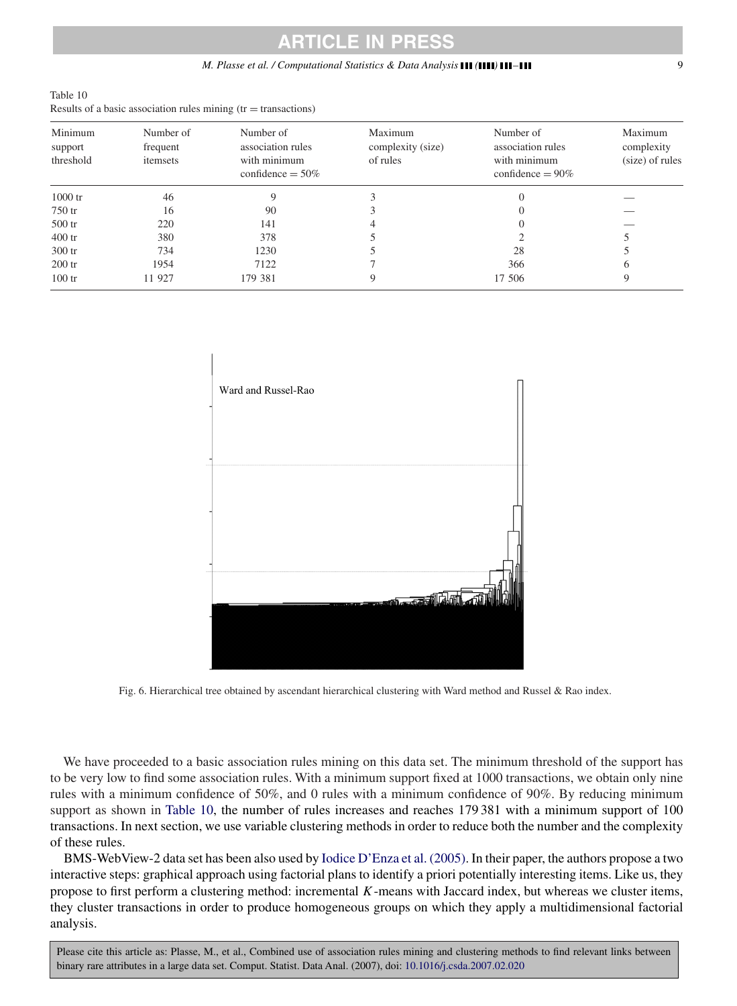## **TICLE IN PRES**

#### *M. Plasse et al. / Computational Statistics & Data Analysis ( ) –* 9

| Table 10                                                          |  |
|-------------------------------------------------------------------|--|
| Results of a basic association rules mining $(tr = transactions)$ |  |

| Minimum<br>support | Number of<br>frequent | Number of<br>association rules      | Maximum<br>complexity (size) | Number of<br>association rules      | Maximum<br>complexity |
|--------------------|-----------------------|-------------------------------------|------------------------------|-------------------------------------|-----------------------|
| threshold          | itemsets              | with minimum<br>confidence $= 50\%$ | of rules                     | with minimum<br>confidence $= 90\%$ | (size) of rules       |
| $1000$ tr          | 46                    | 9                                   |                              |                                     |                       |
| 750 tr             | 16                    | 90                                  |                              |                                     |                       |
| $500$ tr           | 220                   | 141                                 |                              |                                     |                       |
| $400$ tr           | 380                   | 378                                 |                              |                                     |                       |
| $300$ tr           | 734                   | 1230                                |                              | 28                                  |                       |
| $200$ tr           | 1954                  | 7122                                |                              | 366                                 | 6                     |
| $100$ tr           | 11 927                | 179 381                             | 9                            | 17 506                              | 9                     |



Fig. 6. Hierarchical tree obtained by ascendant hierarchical clustering with Ward method and Russel & Rao index.

We have proceeded to a basic association rules mining on this data set. The minimum threshold of the support has to be very low to find some association rules. With a minimum support fixed at 1000 transactions, we obtain only nine rules with a minimum confidence of 50%, and 0 rules with a minimum confidence of 90%. By reducing minimum support as shown in Table 10, the number of rules increases and reaches 179 381 with a minimum support of 100 transactions. In next section, we use variable clustering methods in order to reduce both the number and the complexity of these rules.

BMS-WebView-2 data set has been also used by [Iodice D'Enza et al. \(2005\).](#page-17-0) In their paper, the authors propose a two interactive steps: graphical approach using factorial plans to identify a priori potentially interesting items. Like us, they propose to first perform a clustering method: incremental  $K$ -means with Jaccard index, but whereas we cluster items, they cluster transactions in order to produce homogeneous groups on which they apply a multidimensional factorial analysis.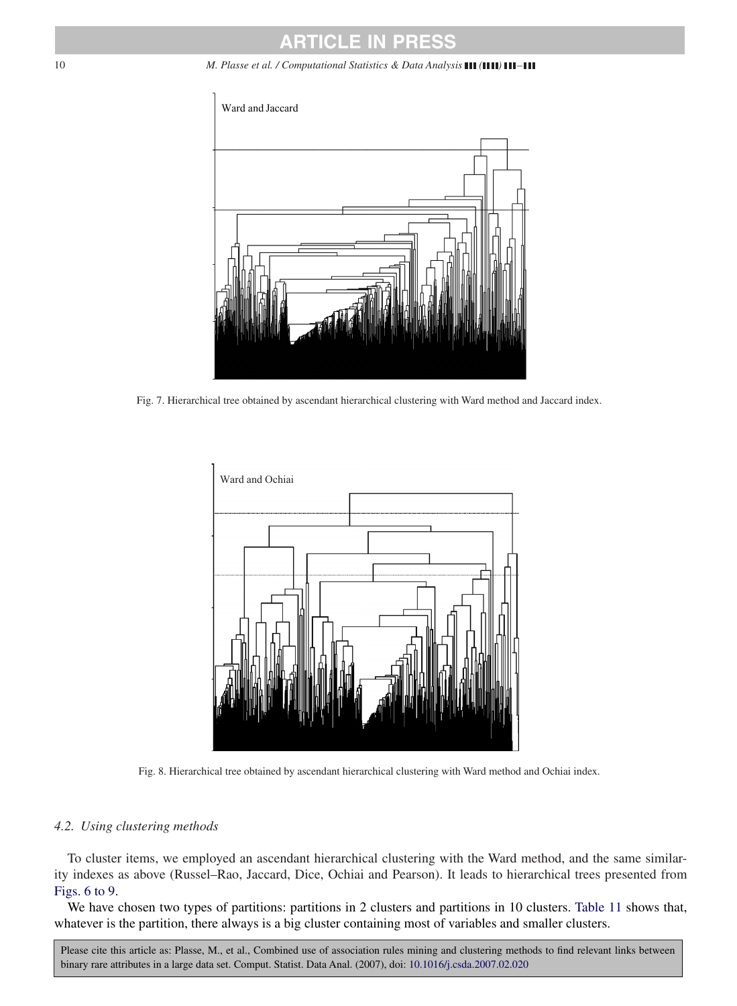<span id="page-9-0"></span>

Fig. 7. Hierarchical tree obtained by ascendant hierarchical clustering with Ward method and Jaccard index.



Fig. 8. Hierarchical tree obtained by ascendant hierarchical clustering with Ward method and Ochiai index.

#### *4.2. Using clustering methods*

To cluster items, we employed an ascendant hierarchical clustering with the Ward method, and the same similarity indexes as above (Russel–Rao, Jaccard, Dice, Ochiai and Pearson). It leads to hierarchical trees presented from Figs. 6 to 9.

We have chosen two types of partitions: partitions in 2 clusters and partitions in 10 clusters. [Table 11](#page-10-0) shows that, whatever is the partition, there always is a big cluster containing most of variables and smaller clusters.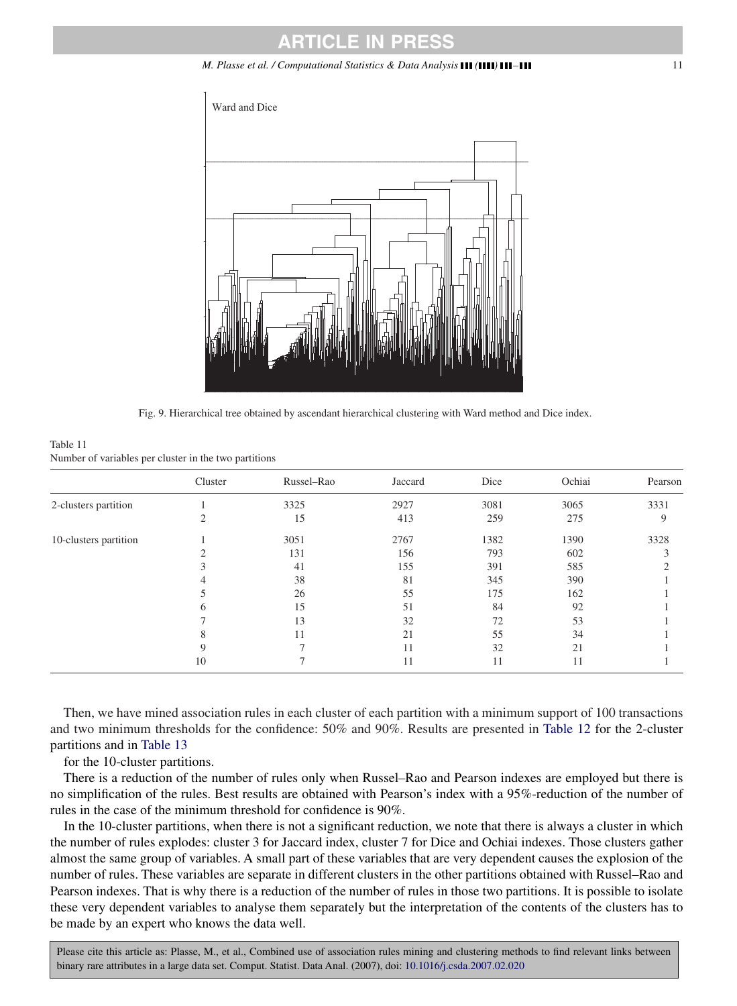#### *M. Plasse et al. / Computational Statistics & Data Analysis ( ) –* 11

<span id="page-10-0"></span>

Fig. 9. Hierarchical tree obtained by ascendant hierarchical clustering with Ward method and Dice index.

| Table 11                                              |  |  |  |
|-------------------------------------------------------|--|--|--|
| Number of variables per cluster in the two partitions |  |  |  |

|                       | Cluster     | Russel-Rao | Jaccard | Dice | Ochiai | Pearson |
|-----------------------|-------------|------------|---------|------|--------|---------|
| 2-clusters partition  |             | 3325       | 2927    | 3081 | 3065   | 3331    |
|                       |             | 15         | 413     | 259  | 275    | 9       |
| 10-clusters partition |             | 3051       | 2767    | 1382 | 1390   | 3328    |
|                       |             | 131        | 156     | 793  | 602    |         |
|                       |             | 41         | 155     | 391  | 585    |         |
|                       |             | 38         | 81      | 345  | 390    |         |
|                       |             | 26         | 55      | 175  | 162    |         |
|                       | n           | 15         | 51      | 84   | 92     |         |
|                       |             | 13         | 32      | 72   | 53     |         |
|                       |             | 11         | 21      | 55   | 34     |         |
|                       | $\mathbf Q$ |            | 11      | 32   | 21     |         |
|                       | 10          |            | 11      | 11   | 11     |         |

Then, we have mined association rules in each cluster of each partition with a minimum support of 100 transactions and two minimum thresholds for the confidence: 50% and 90%. Results are presented in [Table 12](#page-11-0) for the 2-cluster partitions and in [Table 13](#page-12-0)

for the 10-cluster partitions.

There is a reduction of the number of rules only when Russel–Rao and Pearson indexes are employed but there is no simplification of the rules. Best results are obtained with Pearson's index with a 95%-reduction of the number of rules in the case of the minimum threshold for confidence is 90%.

In the 10-cluster partitions, when there is not a significant reduction, we note that there is always a cluster in which the number of rules explodes: cluster 3 for Jaccard index, cluster 7 for Dice and Ochiai indexes. Those clusters gather almost the same group of variables. A small part of these variables that are very dependent causes the explosion of the number of rules. These variables are separate in different clusters in the other partitions obtained with Russel–Rao and Pearson indexes. That is why there is a reduction of the number of rules in those two partitions. It is possible to isolate these very dependent variables to analyse them separately but the interpretation of the contents of the clusters has to be made by an expert who knows the data well.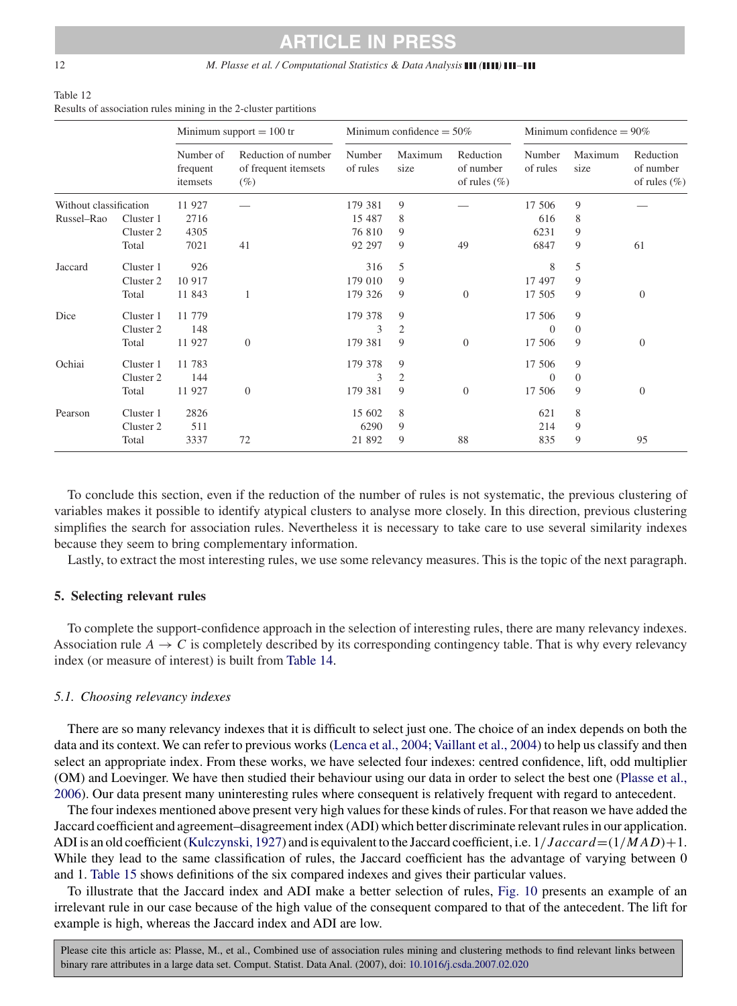#### <span id="page-11-0"></span>12 *M. Plasse et al. / Computational Statistics & Data Analysis ( ) –*

### Table 12 Results of association rules mining in the 2-cluster partitions

|                        |           |                                   | Minimum support $= 100$ tr                            |                    | Minimum confidence $= 50\%$ |                                            |                    | Minimum confidence $= 90\%$ |                                            |  |
|------------------------|-----------|-----------------------------------|-------------------------------------------------------|--------------------|-----------------------------|--------------------------------------------|--------------------|-----------------------------|--------------------------------------------|--|
|                        |           | Number of<br>frequent<br>itemsets | Reduction of number<br>of frequent itemsets<br>$(\%)$ | Number<br>of rules | Maximum<br>size             | Reduction<br>of number<br>of rules $(\% )$ | Number<br>of rules | Maximum<br>size             | Reduction<br>of number<br>of rules $(\% )$ |  |
| Without classification |           | 11 927                            |                                                       | 179 381            | 9                           |                                            | 17 506             | 9                           |                                            |  |
| Russel-Rao             | Cluster 1 | 2716                              |                                                       | 15 487             | 8                           |                                            | 616                | 8                           |                                            |  |
|                        | Cluster 2 | 4305                              |                                                       | 76 810             | 9                           |                                            | 6231               | 9                           |                                            |  |
|                        | Total     | 7021                              | 41                                                    | 92 297             | 9                           | 49                                         | 6847               | 9                           | 61                                         |  |
| Jaccard                | Cluster 1 | 926                               |                                                       | 316                | 5                           |                                            | 8                  | 5                           |                                            |  |
|                        | Cluster 2 | 10 917                            |                                                       | 179 010            | 9                           |                                            | 17 497             | 9                           |                                            |  |
|                        | Total     | 11 843                            |                                                       | 179 326            | 9                           | $\overline{0}$                             | 17 505             | 9                           | $\overline{0}$                             |  |
| Dice                   | Cluster 1 | 11 779                            |                                                       | 179 378            | 9                           |                                            | 17 506             | 9                           |                                            |  |
|                        | Cluster 2 | 148                               |                                                       | 3                  | $\mathfrak{2}$              |                                            | $\Omega$           | $\mathbf{0}$                |                                            |  |
|                        | Total     | 11 927                            | $\theta$                                              | 179 381            | 9                           | $\mathbf{0}$                               | 17 506             | 9                           | $\theta$                                   |  |
| Ochiai                 | Cluster 1 | 11 783                            |                                                       | 179 378            | 9                           |                                            | 17 506             | 9                           |                                            |  |
|                        | Cluster 2 | 144                               |                                                       | 3                  | 2                           |                                            | $\Omega$           | $\mathbf{0}$                |                                            |  |
|                        | Total     | 11 927                            | $\overline{0}$                                        | 179 381            | 9                           | $\overline{0}$                             | 17 506             | 9                           | $\overline{0}$                             |  |
| Pearson                | Cluster 1 | 2826                              |                                                       | 15 602             | 8                           |                                            | 621                | 8                           |                                            |  |
|                        | Cluster 2 | 511                               |                                                       | 6290               | 9                           |                                            | 214                | 9                           |                                            |  |
|                        | Total     | 3337                              | 72                                                    | 21 892             | 9                           | 88                                         | 835                | 9                           | 95                                         |  |

To conclude this section, even if the reduction of the number of rules is not systematic, the previous clustering of variables makes it possible to identify atypical clusters to analyse more closely. In this direction, previous clustering simplifies the search for association rules. Nevertheless it is necessary to take care to use several similarity indexes because they seem to bring complementary information.

Lastly, to extract the most interesting rules, we use some relevancy measures. This is the topic of the next paragraph.

#### **5. Selecting relevant rules**

To complete the support-confidence approach in the selection of interesting rules, there are many relevancy indexes. Association rule  $A \rightarrow C$  is completely described by its corresponding contingency table. That is why every relevancy index (or measure of interest) is built from [Table 14.](#page-13-0)

#### *5.1. Choosing relevancy indexes*

There are so many relevancy indexes that it is difficult to select just one. The choice of an index depends on both the data and its context. We can refer to previous works (Lenca et al., 2004; Vaillant et al., 2004) to help us classify and then select an appropriate index. From these works, we have selected four indexes: centred confidence, lift, odd multiplier (OM) and Loevinger. We have then studied their behaviour using our data in order to select the best one [\(Plasse et al.,](#page-17-0) [2006\)](#page-17-0). Our data present many uninteresting rules where consequent is relatively frequent with regard to antecedent.

The four indexes mentioned above present very high values for these kinds of rules. For that reason we have added the Jaccard coefficient and agreement–disagreement index (ADI) which better discriminate relevant rules in our application. ADI is an old coefficient [\(Kulczynski, 1927\)](#page-17-0) and is equivalent to the Jaccard coefficient, i.e.  $1/Jaccard = (1/MAD) + 1$ . While they lead to the same classification of rules, the Jaccard coefficient has the advantage of varying between 0 and 1. [Table 15](#page-13-0) shows definitions of the six compared indexes and gives their particular values.

To illustrate that the Jaccard index and ADI make a better selection of rules, [Fig. 10](#page-13-0) presents an example of an irrelevant rule in our case because of the high value of the consequent compared to that of the antecedent. The lift for example is high, whereas the Jaccard index and ADI are low.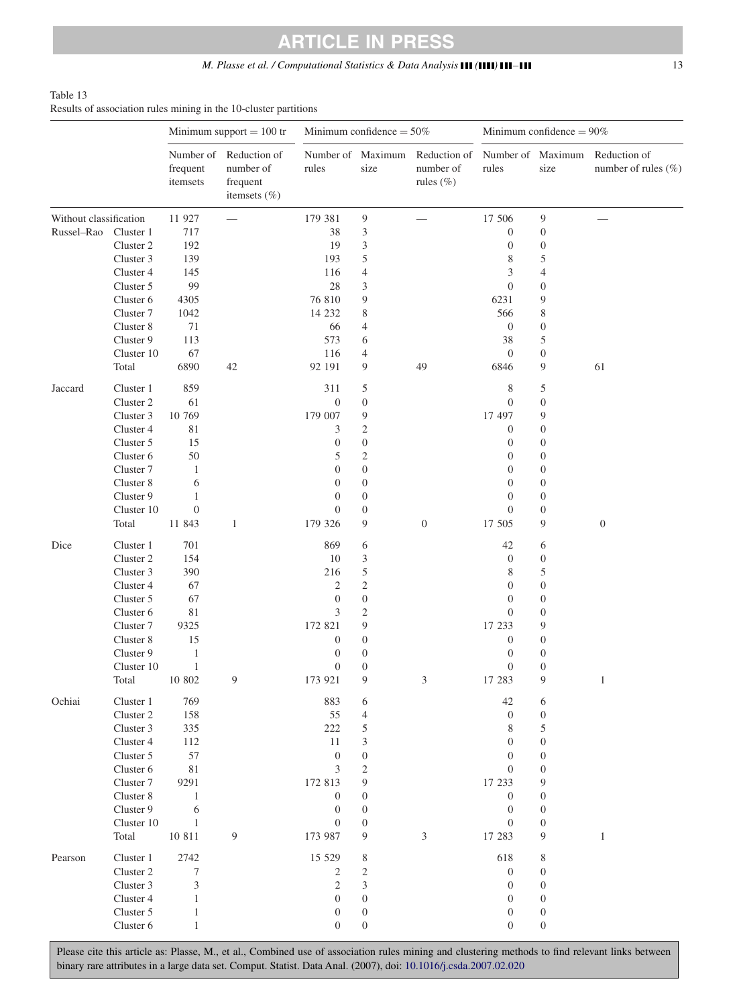### *M. Plasse et al. / Computational Statistics & Data Analysis* **(1111) 111-111 111**

#### <span id="page-12-0"></span>Table 13 Results of association rules mining in the 10-cluster partitions

|                        |            | Minimum support $= 100$ tr        |                                                           | Minimum confidence $= 50\%$ |                           |                                                             | Minimum confidence = $90\%$ |                  |                                     |
|------------------------|------------|-----------------------------------|-----------------------------------------------------------|-----------------------------|---------------------------|-------------------------------------------------------------|-----------------------------|------------------|-------------------------------------|
|                        |            | Number of<br>frequent<br>itemsets | Reduction of<br>number of<br>frequent<br>itemsets $(\% )$ | rules                       | Number of Maximum<br>size | Reduction of Number of Maximum<br>number of<br>rules $(\%)$ | rules                       | size             | Reduction of<br>number of rules (%) |
| Without classification |            | 11 927                            |                                                           | 179 381                     | $\overline{9}$            |                                                             | 17 506                      | 9                |                                     |
| Russel-Rao             | Cluster 1  | 717                               |                                                           | 38                          | 3                         |                                                             | $\mathbf{0}$                | $\boldsymbol{0}$ |                                     |
|                        | Cluster 2  | 192                               |                                                           | 19                          | 3                         |                                                             | $\mathbf{0}$                | $\boldsymbol{0}$ |                                     |
|                        | Cluster 3  | 139                               |                                                           | 193                         | 5                         |                                                             | 8                           | 5                |                                     |
|                        | Cluster 4  | 145                               |                                                           | 116                         | $\overline{4}$            |                                                             | 3                           | $\overline{4}$   |                                     |
|                        | Cluster 5  | 99                                |                                                           | 28                          | 3                         |                                                             | $\mathbf{0}$                | $\boldsymbol{0}$ |                                     |
|                        | Cluster 6  | 4305                              |                                                           | 76 810                      | 9                         |                                                             | 6231                        | 9                |                                     |
|                        | Cluster 7  | 1042                              |                                                           | 14 232                      | 8                         |                                                             | 566                         | 8                |                                     |
|                        | Cluster 8  | 71                                |                                                           | 66                          | $\overline{4}$            |                                                             | $\mathbf{0}$                | $\boldsymbol{0}$ |                                     |
|                        | Cluster 9  | 113                               |                                                           | 573                         | 6                         |                                                             | 38                          | 5                |                                     |
|                        | Cluster 10 | 67                                |                                                           | 116                         | $\overline{4}$            |                                                             | $\mathbf{0}$                | $\boldsymbol{0}$ |                                     |
|                        | Total      | 6890                              | 42                                                        | 92 191                      | 9                         | 49                                                          | 6846                        | 9                | 61                                  |
| Jaccard                | Cluster 1  | 859                               |                                                           | 311                         | 5                         |                                                             | 8                           | 5                |                                     |
|                        | Cluster 2  | 61                                |                                                           | $\boldsymbol{0}$            | $\mathbf{0}$              |                                                             | $\overline{0}$              | $\boldsymbol{0}$ |                                     |
|                        | Cluster 3  | 10 769                            |                                                           | 179 007                     | 9                         |                                                             | 17 497                      | 9                |                                     |
|                        | Cluster 4  | 81                                |                                                           | 3                           | $\mathfrak{2}$            |                                                             | $\mathbf{0}$                | $\boldsymbol{0}$ |                                     |
|                        | Cluster 5  | 15                                |                                                           | $\boldsymbol{0}$            | $\mathbf{0}$              |                                                             | $\mathbf{0}$                | $\boldsymbol{0}$ |                                     |
|                        | Cluster 6  | 50                                |                                                           | 5                           | $\mathfrak{2}$            |                                                             | $\mathbf{0}$                | $\boldsymbol{0}$ |                                     |
|                        | Cluster 7  | $\mathbf{1}$                      |                                                           | $\overline{0}$              | $\mathbf{0}$              |                                                             | $\overline{0}$              | $\boldsymbol{0}$ |                                     |
|                        | Cluster 8  | 6                                 |                                                           | $\boldsymbol{0}$            | $\boldsymbol{0}$          |                                                             | $\mathbf{0}$                | $\boldsymbol{0}$ |                                     |
|                        | Cluster 9  | 1                                 |                                                           | $\boldsymbol{0}$            | $\mathbf{0}$              |                                                             | $\mathbf{0}$                | $\boldsymbol{0}$ |                                     |
|                        | Cluster 10 | $\boldsymbol{0}$                  |                                                           | $\overline{0}$              | $\mathbf{0}$              |                                                             | $\overline{0}$              | $\boldsymbol{0}$ |                                     |
|                        | Total      | 11 843                            | $\mathbf{1}$                                              | 179 326                     | 9                         | $\boldsymbol{0}$                                            | 17 505                      | 9                | $\boldsymbol{0}$                    |
| Dice                   | Cluster 1  | 701                               |                                                           | 869                         | 6                         |                                                             | 42                          | 6                |                                     |
|                        | Cluster 2  | 154                               |                                                           | 10                          | 3                         |                                                             | $\theta$                    | $\boldsymbol{0}$ |                                     |
|                        | Cluster 3  | 390                               |                                                           | 216                         | 5                         |                                                             | 8                           | 5                |                                     |
|                        | Cluster 4  | 67                                |                                                           | $\mathfrak{2}$              | $\mathfrak{2}$            |                                                             | $\mathbf{0}$                | $\boldsymbol{0}$ |                                     |
|                        | Cluster 5  | 67                                |                                                           | $\boldsymbol{0}$            | $\boldsymbol{0}$          |                                                             | $\overline{0}$              | $\boldsymbol{0}$ |                                     |
|                        | Cluster 6  | 81                                |                                                           | 3                           | $\mathfrak{2}$            |                                                             | $\overline{0}$              | $\boldsymbol{0}$ |                                     |
|                        | Cluster 7  | 9325                              |                                                           | 172 821                     | 9                         |                                                             | 17 233                      | 9                |                                     |
|                        | Cluster 8  | 15                                |                                                           | 0                           | $\mathbf{0}$              |                                                             | $\mathbf{0}$                | $\boldsymbol{0}$ |                                     |
|                        | Cluster 9  | $\mathbf{1}$                      |                                                           | $\boldsymbol{0}$            | $\mathbf{0}$              |                                                             | $\boldsymbol{0}$            | $\boldsymbol{0}$ |                                     |
|                        | Cluster 10 | $\mathbf{1}$                      |                                                           | $\mathbf{0}$                | $\mathbf{0}$              |                                                             | $\overline{0}$              | $\boldsymbol{0}$ |                                     |
|                        | Total      | 10 802                            | 9                                                         | 173 921                     | 9                         | 3                                                           | 17 283                      | 9                | $\mathbf{1}$                        |
| Ochiai                 | Cluster 1  | 769                               |                                                           | 883                         | 6                         |                                                             | 42                          | 6                |                                     |
|                        | Cluster 2  | 158                               |                                                           | 55                          | $\overline{4}$            |                                                             | $\overline{0}$              | $\boldsymbol{0}$ |                                     |
|                        | Cluster 3  | 335                               |                                                           | 222                         | 5                         |                                                             | 8                           | 5                |                                     |
|                        | Cluster 4  | 112                               |                                                           | 11                          | 3                         |                                                             | $\boldsymbol{0}$            | $\boldsymbol{0}$ |                                     |
|                        | Cluster 5  | 57                                |                                                           | $\mathbf{0}$                | $\boldsymbol{0}$          |                                                             | $\overline{0}$              | $\boldsymbol{0}$ |                                     |
|                        | Cluster 6  | $8\sqrt{1}$                       |                                                           | 3                           | $\mathfrak{2}$            |                                                             | $\mathbf{0}$                | $\boldsymbol{0}$ |                                     |
|                        | Cluster 7  | 9291                              |                                                           | 172 813                     | 9                         |                                                             | 17 233                      | 9                |                                     |
|                        | Cluster 8  | $\mathbf{1}$                      |                                                           | $\boldsymbol{0}$            | $\mathbf{0}$              |                                                             | $\boldsymbol{0}$            | $\boldsymbol{0}$ |                                     |
|                        | Cluster 9  | 6                                 |                                                           | $\mathbf{0}$                | $\mathbf{0}$              |                                                             | $\mathbf{0}$                | $\boldsymbol{0}$ |                                     |
|                        | Cluster 10 | $\mathbf{1}$                      |                                                           | $\boldsymbol{0}$            | $\boldsymbol{0}$          |                                                             | $\mathbf{0}$                | $\boldsymbol{0}$ |                                     |
|                        | Total      | 10 811                            | 9                                                         | 173 987                     | 9                         | 3                                                           | 17 283                      | 9                | $\mathbf{1}$                        |
| Pearson                | Cluster 1  | 2742                              |                                                           | 15 5 29                     | 8                         |                                                             | 618                         | 8                |                                     |
|                        | Cluster 2  | 7                                 |                                                           | 2                           | $\overline{2}$            |                                                             | $\mathbf{0}$                | $\boldsymbol{0}$ |                                     |
|                        | Cluster 3  | 3                                 |                                                           | $\mathfrak{2}$              | 3                         |                                                             | $\overline{0}$              | $\boldsymbol{0}$ |                                     |
|                        | Cluster 4  | 1                                 |                                                           | $\mathbf{0}$                | $\mathbf{0}$              |                                                             | $\mathbf{0}$                | $\boldsymbol{0}$ |                                     |
|                        | Cluster 5  | 1                                 |                                                           | $\boldsymbol{0}$            | $\boldsymbol{0}$          |                                                             | $\boldsymbol{0}$            | $\boldsymbol{0}$ |                                     |
|                        | Cluster 6  | $\mathbf{1}$                      |                                                           | $\boldsymbol{0}$            | $\boldsymbol{0}$          |                                                             | $\boldsymbol{0}$            | $\boldsymbol{0}$ |                                     |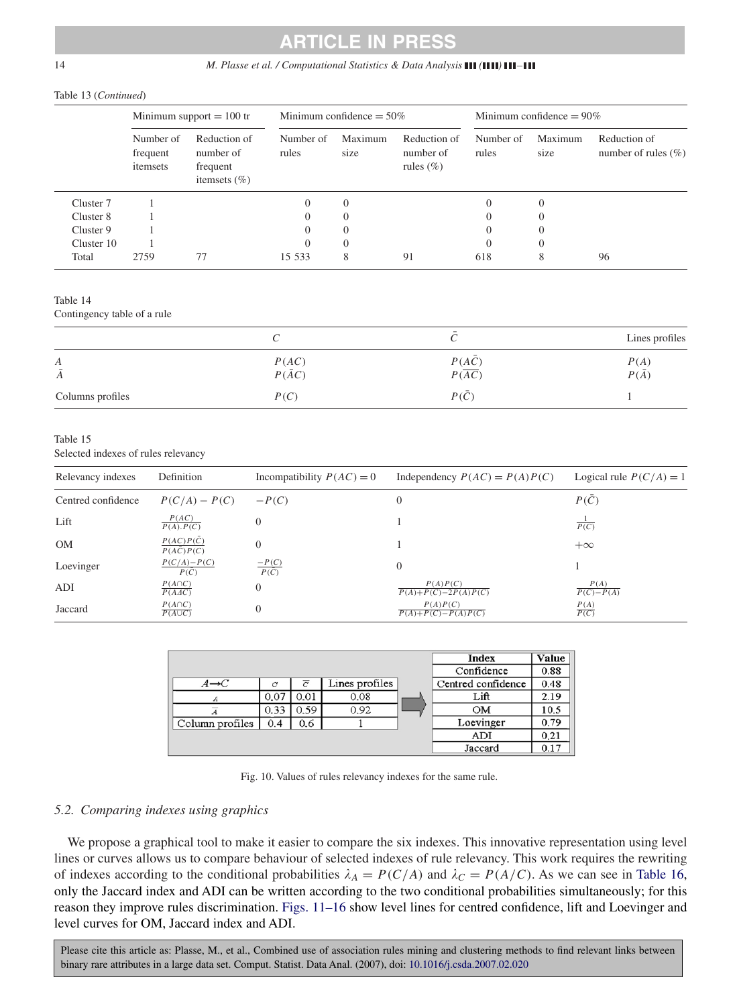#### <span id="page-13-0"></span>14 *M. Plasse et al. / Computational Statistics & Data Analysis* **(1111) 111–111**

#### Table 13 (*Continued*)

|            | Minimum support $= 100$ tr        |                                                           |                    | Minimum confidence $= 50\%$ |                                            |                    | Minimum confidence $= 90\%$ |                                         |  |
|------------|-----------------------------------|-----------------------------------------------------------|--------------------|-----------------------------|--------------------------------------------|--------------------|-----------------------------|-----------------------------------------|--|
|            | Number of<br>frequent<br>itemsets | Reduction of<br>number of<br>frequent<br>itemsets $(\% )$ | Number of<br>rules | Maximum<br>size             | Reduction of<br>number of<br>rules $(\% )$ | Number of<br>rules | Maximum<br>size             | Reduction of<br>number of rules $(\% )$ |  |
| Cluster 7  |                                   |                                                           | $\Omega$           | $\theta$                    |                                            | $\theta$           | $\overline{0}$              |                                         |  |
| Cluster 8  |                                   |                                                           | $^{(1)}$           | $\Omega$                    |                                            | $\Omega$           | $\theta$                    |                                         |  |
| Cluster 9  |                                   |                                                           | $^{(1)}$           | $\Omega$                    |                                            | $\Omega$           | $\theta$                    |                                         |  |
| Cluster 10 |                                   |                                                           | $\theta$           | $\Omega$                    |                                            | $\Omega$           | $\theta$                    |                                         |  |
| Total      | 2759                              | 77                                                        | 15 533             | 8                           | 91                                         | 618                | 8                           | 96                                      |  |

Table 14

Contingency table of a rule

|                     |                        |                                     | Lines profiles       |
|---------------------|------------------------|-------------------------------------|----------------------|
| А<br>$\overline{A}$ | P(AC)<br>$P(\bar{A}C)$ | $P(A\bar{C})$<br>$P(\overline{AC})$ | P(A)<br>$P(\bar{A})$ |
| Columns profiles    | P(C)                   | $P(\overline{C})$                   |                      |

#### Table 15

Selected indexes of rules relevancy

| Relevancy indexes  | Definition                            | Incompatibility $P(AC) = 0$ | Independency $P(AC) = P(A)P(C)$              | Logical rule $P(C/A) = 1$      |
|--------------------|---------------------------------------|-----------------------------|----------------------------------------------|--------------------------------|
| Centred confidence | $P(C/A) - P(C)$                       | $-P(C)$                     | $\theta$                                     | $P(\overline{C})$              |
| Lift               | $\frac{P(AC)}{P(A), P(C)}$            |                             |                                              | $\overline{P(C)}$              |
| <b>OM</b>          | $P(AC)P(\bar{C})$<br>P(AC)P(C)        | $\Omega$                    |                                              | $+\infty$                      |
| Loevinger          | $\frac{P(C/A)-P(C)}{P(\overline{C})}$ | $\frac{-P(C)}{P(\bar{C})}$  | $\overline{0}$                               |                                |
| ADI                | $P(A \cap C)$<br>$\overline{P(AAC)}$  | $\Omega$                    | P(A)P(C)<br>$\overline{P(A)+P(C)-2P(A)P(C)}$ | P(A)<br>$\overline{P(C)-P(A)}$ |
| Jaccard            | $\frac{P(A \cap C)}{P(A \cup C)}$     | 0                           | P(A)P(C)<br>$\overline{P(A)+P(C)-P(A)P(C)}$  | $rac{P(A)}{P(C)}$              |

|                   |      |                |                | Index              | Value |
|-------------------|------|----------------|----------------|--------------------|-------|
|                   |      |                |                | Confidence         | 0.88  |
| $A \rightarrow C$ | С    | $\overline{C}$ | Lines profiles | Centred confidence | 0.48  |
|                   | 0.07 | 0.01           | 0.08           | Lift               | 2.19  |
|                   | 0.33 | 0.59           | 0.92           | OМ                 | 10.5  |
| Column profiles   | 0.4  | 0.6            |                | Loevinger          | 0.79  |
|                   |      |                |                | ADI                | 0.21  |
|                   |      |                |                | Jaccard            | 0.17  |

|  |  |  |  |  |  | Fig. 10. Values of rules relevancy indexes for the same rule. |
|--|--|--|--|--|--|---------------------------------------------------------------|
|--|--|--|--|--|--|---------------------------------------------------------------|

#### *5.2. Comparing indexes using graphics*

We propose a graphical tool to make it easier to compare the six indexes. This innovative representation using level lines or curves allows us to compare behaviour of selected indexes of rule relevancy. This work requires the rewriting of indexes according to the conditional probabilities  $\lambda_A = P(C/A)$  and  $\lambda_C = P(A/C)$ . As we can see in [Table 16,](#page-15-0) only the Jaccard index and ADI can be written according to the two conditional probabilities simultaneously; for this reason they improve rules discrimination. Figs. 11–16 show level lines for centred confidence, lift and Loevinger and level curves for OM, Jaccard index and ADI.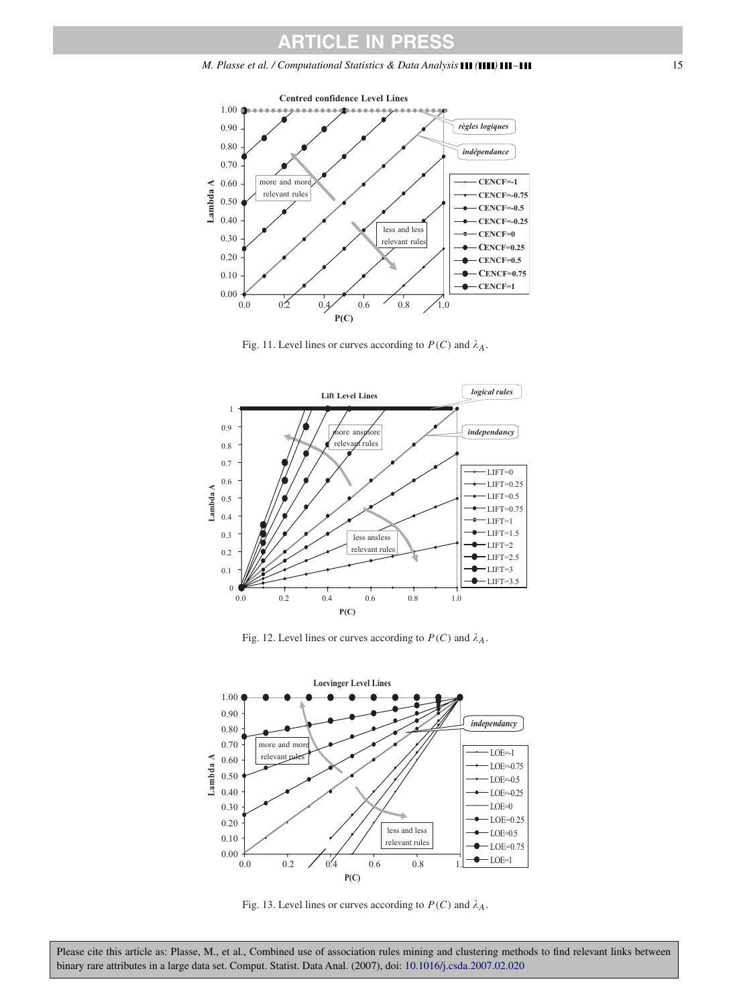

Fig. 11. Level lines or curves according to  $P(C)$  and  $\lambda_A$ .



Fig. 12. Level lines or curves according to  $P(C)$  and  $\lambda_A$ .



Fig. 13. Level lines or curves according to  $P(C)$  and  $\lambda_A$ .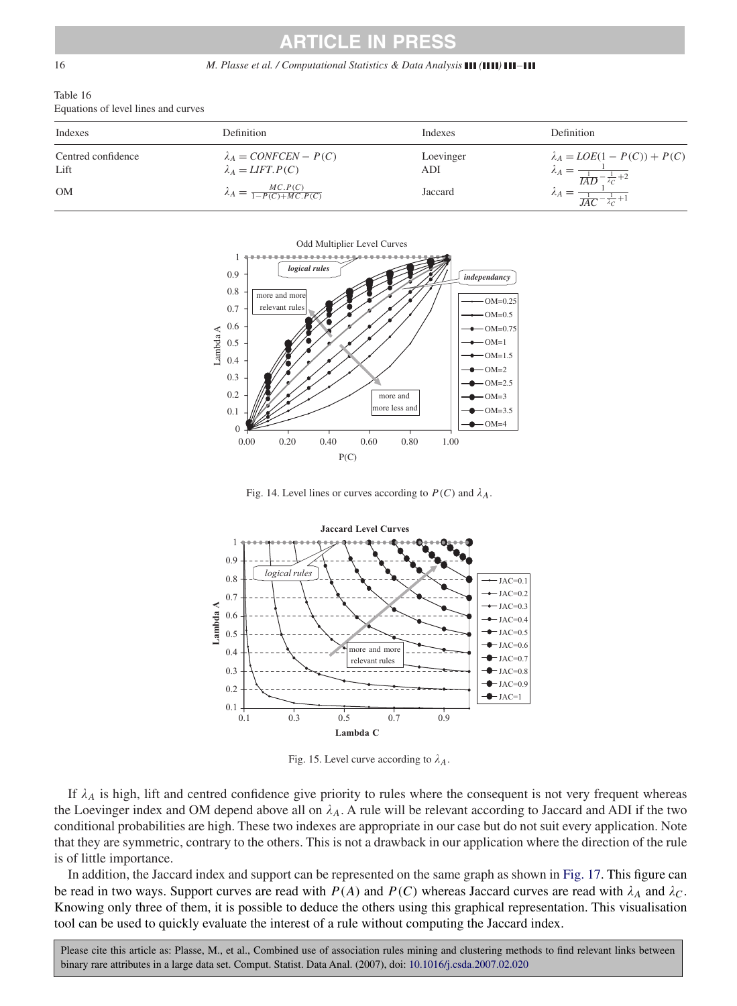#### <span id="page-15-0"></span>16 *M. Plasse et al. / Computational Statistics & Data Analysis* **(1111) 111-111**

| Table 16                            |  |  |
|-------------------------------------|--|--|
| Equations of level lines and curves |  |  |

| Indexes                    | <b>Definition</b>                                       | Indexes          | <b>Definition</b>                                                                    |
|----------------------------|---------------------------------------------------------|------------------|--------------------------------------------------------------------------------------|
| Centred confidence<br>Lift | $\lambda_A = CONFCEN - P(C)$<br>$\lambda_A = LIFT.P(C)$ | Loevinger<br>ADI | $\lambda_A = LOE(1 - P(C)) + P(C)$<br>$\lambda_A = \frac{}{1 \cdot \frac{1}{2} + 2}$ |
| <b>OM</b>                  | $\lambda_A = \frac{MC.P(C)}{1-P(C)+MC.P(C)}$            | Jaccard          |                                                                                      |



Fig. 14. Level lines or curves according to  $P(C)$  and  $\lambda_A$ .



Fig. 15. Level curve according to  $\lambda_A$ .

If  $\lambda_A$  is high, lift and centred confidence give priority to rules where the consequent is not very frequent whereas the Loevinger index and OM depend above all on  $\lambda_A$ . A rule will be relevant according to Jaccard and ADI if the two conditional probabilities are high. These two indexes are appropriate in our case but do not suit every application. Note that they are symmetric, contrary to the others. This is not a drawback in our application where the direction of the rule is of little importance.

In addition, the Jaccard index and support can be represented on the same graph as shown in [Fig. 17.](#page-16-0) This figure can be read in two ways. Support curves are read with  $P(A)$  and  $P(C)$  whereas Jaccard curves are read with  $\lambda_A$  and  $\lambda_C$ . Knowing only three of them, it is possible to deduce the others using this graphical representation. This visualisation tool can be used to quickly evaluate the interest of a rule without computing the Jaccard index.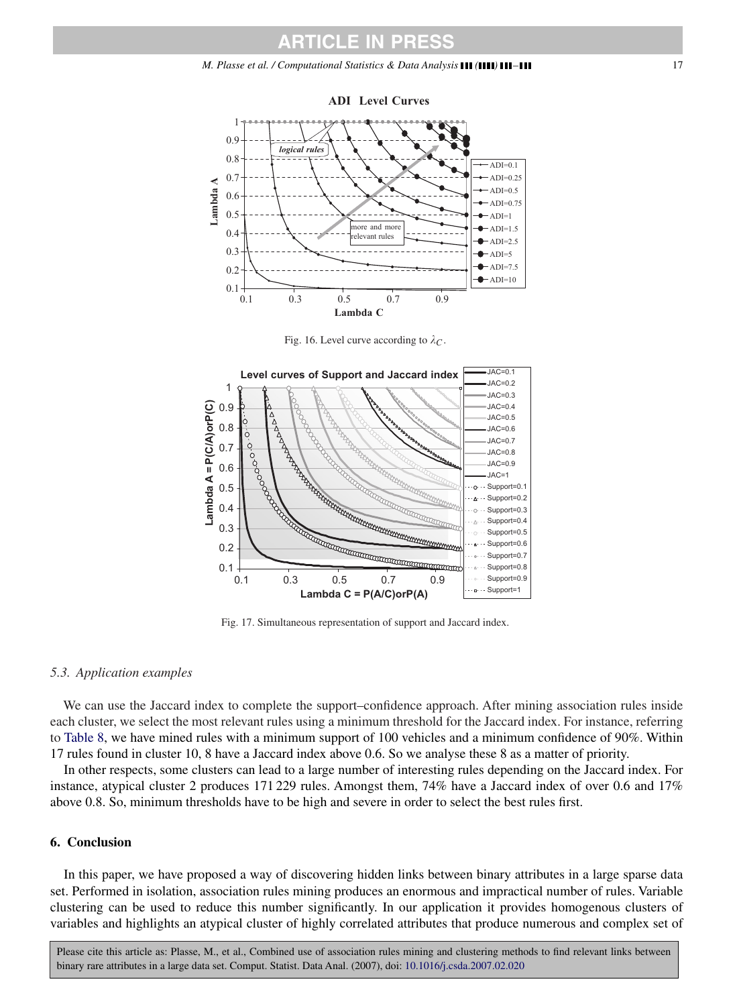#### <span id="page-16-0"></span>*M. Plasse et al. / Computational Statistics & Data Analysis ( ) –* 17



Fig. 16. Level curve according to  $\lambda_C$ .



Fig. 17. Simultaneous representation of support and Jaccard index.

#### *5.3. Application examples*

We can use the Jaccard index to complete the support–confidence approach. After mining association rules inside each cluster, we select the most relevant rules using a minimum threshold for the Jaccard index. For instance, referring to [Table 8,](#page-7-0) we have mined rules with a minimum support of 100 vehicles and a minimum confidence of 90%. Within 17 rules found in cluster 10, 8 have a Jaccard index above 0.6. So we analyse these 8 as a matter of priority.

In other respects, some clusters can lead to a large number of interesting rules depending on the Jaccard index. For instance, atypical cluster 2 produces 171 229 rules. Amongst them, 74% have a Jaccard index of over 0.6 and 17% above 0.8. So, minimum thresholds have to be high and severe in order to select the best rules first.

#### **6. Conclusion**

In this paper, we have proposed a way of discovering hidden links between binary attributes in a large sparse data set. Performed in isolation, association rules mining produces an enormous and impractical number of rules. Variable clustering can be used to reduce this number significantly. In our application it provides homogenous clusters of variables and highlights an atypical cluster of highly correlated attributes that produce numerous and complex set of